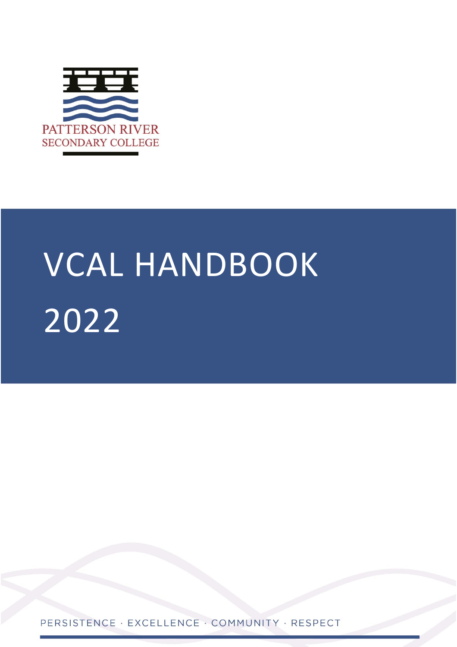

# VCAL HANDBOOK 2022

PERSISTENCE · EXCELLENCE · COMMUNITY · RESPECT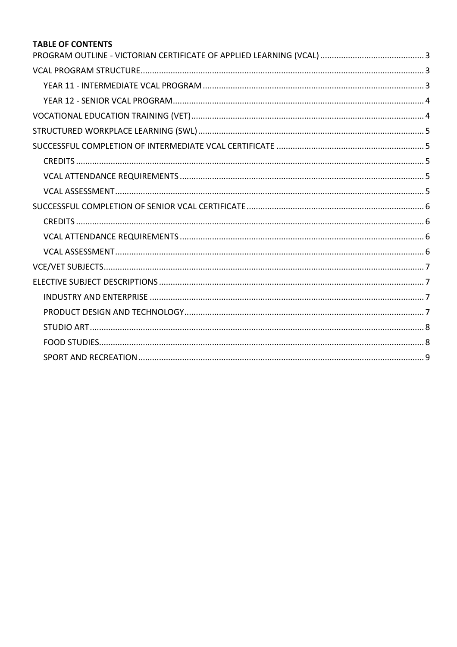### **TABLE OF CONTENTS**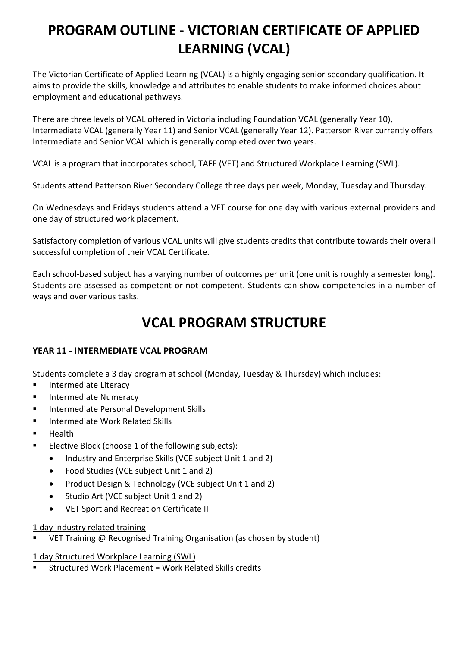# <span id="page-2-0"></span>**PROGRAM OUTLINE - VICTORIAN CERTIFICATE OF APPLIED LEARNING (VCAL)**

The Victorian Certificate of Applied Learning (VCAL) is a highly engaging senior secondary qualification. It aims to provide the skills, knowledge and attributes to enable students to make informed choices about employment and educational pathways.

There are three levels of VCAL offered in Victoria including Foundation VCAL (generally Year 10), Intermediate VCAL (generally Year 11) and Senior VCAL (generally Year 12). Patterson River currently offers Intermediate and Senior VCAL which is generally completed over two years.

VCAL is a program that incorporates school, TAFE (VET) and Structured Workplace Learning (SWL).

Students attend Patterson River Secondary College three days per week, Monday, Tuesday and Thursday.

On Wednesdays and Fridays students attend a VET course for one day with various external providers and one day of structured work placement.

Satisfactory completion of various VCAL units will give students credits that contribute towards their overall successful completion of their VCAL Certificate.

Each school-based subject has a varying number of outcomes per unit (one unit is roughly a semester long). Students are assessed as competent or not-competent. Students can show competencies in a number of ways and over various tasks.

### **VCAL PROGRAM STRUCTURE**

### <span id="page-2-2"></span><span id="page-2-1"></span>**YEAR 11 - INTERMEDIATE VCAL PROGRAM**

Students complete a 3 day program at school (Monday, Tuesday & Thursday) which includes:

- **Intermediate Literacy**
- **Intermediate Numeracy**
- **Intermediate Personal Development Skills**
- **Intermediate Work Related Skills**
- Health
- **Elective Block (choose 1 of the following subjects):** 
	- Industry and Enterprise Skills (VCE subject Unit 1 and 2)
	- Food Studies (VCE subject Unit 1 and 2)
	- Product Design & Technology (VCE subject Unit 1 and 2)
	- Studio Art (VCE subject Unit 1 and 2)
	- VET Sport and Recreation Certificate II
- 1 day industry related training
- VET Training @ Recognised Training Organisation (as chosen by student)

1 day Structured Workplace Learning (SWL)

Structured Work Placement = Work Related Skills credits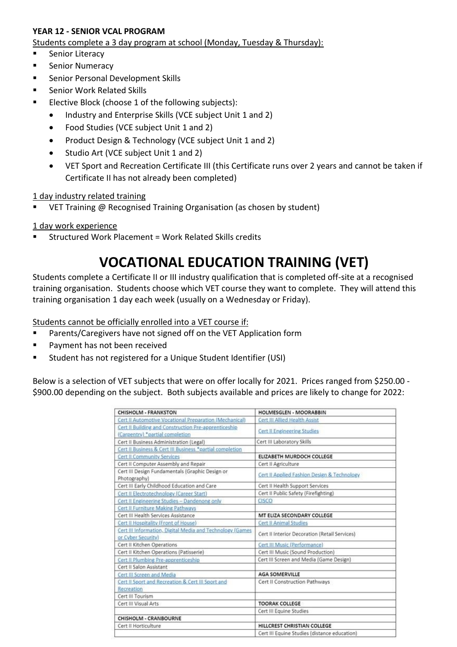### <span id="page-3-0"></span>**YEAR 12 - SENIOR VCAL PROGRAM**

Students complete a 3 day program at school (Monday, Tuesday & Thursday):

- **Senior Literacy**
- **Senior Numeracy**
- **EXEC** Senior Personal Development Skills
- **E.** Senior Work Related Skills
- **Elective Block (choose 1 of the following subjects):** 
	- Industry and Enterprise Skills (VCE subject Unit 1 and 2)
	- Food Studies (VCE subject Unit 1 and 2)
	- Product Design & Technology (VCE subject Unit 1 and 2)
	- Studio Art (VCE subject Unit 1 and 2)
	- VET Sport and Recreation Certificate III (this Certificate runs over 2 years and cannot be taken if Certificate II has not already been completed)

### 1 day industry related training

VET Training @ Recognised Training Organisation (as chosen by student)

1 day work experience

<span id="page-3-1"></span>Structured Work Placement = Work Related Skills credits

# **VOCATIONAL EDUCATION TRAINING (VET)**

Students complete a Certificate II or III industry qualification that is completed off-site at a recognised training organisation. Students choose which VET course they want to complete. They will attend this training organisation 1 day each week (usually on a Wednesday or Friday).

Students cannot be officially enrolled into a VET course if:

- Parents/Caregivers have not signed off on the VET Application form
- Payment has not been received
- Student has not registered for a Unique Student Identifier (USI)

Below is a selection of VET subjects that were on offer locally for 2021. Prices ranged from \$250.00 - \$900.00 depending on the subject. Both subjects available and prices are likely to change for 2022:

| <b>CHISHOLM - FRANKSTON</b>                                                             | HOLMESGLEN - MOORABBIN                        |
|-----------------------------------------------------------------------------------------|-----------------------------------------------|
| Cert II Automotive Vocational Preparation (Mechanical)                                  | Cert III Allied Health Assist                 |
| Cert II Building and Construction Pre-apprenticeship<br>(Carpentry) "partial completion | <b>Cert II Engineering Studies</b>            |
| Cert II Business Administration (Legal)                                                 | Cert III Laboratory Skills                    |
| Cert II Business & Cert III Business "partial completion                                |                                               |
| <b>Cert II Community Services</b>                                                       | ELIZABETH MURDOCH COLLEGE                     |
| Cert II Computer Assembly and Repair                                                    | Cert II Agriculture                           |
| Cert III Design Fundamentals (Graphic Design or<br>Photography)                         | Cert II Applied Fashion Design & Technology   |
| Cert III Early Childhood Education and Care                                             | Cert II Health Support Services               |
| Cert II Electrotechnology (Career Start)                                                | Cert II Public Safety (Firefighting)          |
| Cert II Engineering Studies - Dandenong only                                            | CISCO                                         |
| <b>Cert II Furniture Making Pathways</b>                                                |                                               |
| Cert III Health Services Assistance                                                     | MT ELIZA SECONDARY COLLEGE                    |
| Cert II Hospitality (Front of House)                                                    | <b>Cert II Animal Studies</b>                 |
| Cert III Information, Digital Media and Technology (Games<br>or Cyber Security)         | Cert II Interior Decoration (Retail Services) |
| Cert II Kitchen Operations                                                              | Cert III Music (Performance)                  |
| Cert II Kitchen Operations (Patisserie)                                                 | Cert III Music (Sound Production)             |
| Cert II Plumbing Pre-apprenticeship                                                     | Cert III Screen and Media (Game Design)       |
| Cert II Salon Assistant                                                                 |                                               |
| Cert III Screen and Media                                                               | <b>AGA SOMERVILLE</b>                         |
| Cert II Sport and Recreation & Cert III Sport and<br>Recreation                         | Cert II Construction Pathways                 |
| Cert III Tourism                                                                        |                                               |
| Cert III Visual Arts                                                                    | <b>TOORAK COLLEGE</b>                         |
|                                                                                         | Cert III Equine Studies                       |
| CHISHOLM - CRANBOURNE                                                                   |                                               |
| Cert II Horticulture                                                                    | HILLCREST CHRISTIAN COLLEGE                   |
|                                                                                         | Cert III Equine Studies (distance education)  |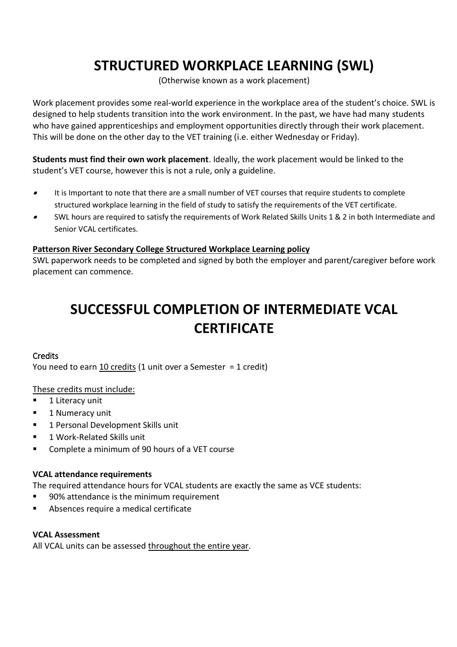# **STRUCTURED WORKPLACE LEARNING (SWL)**

(Otherwise known as a work placement)

<span id="page-4-0"></span>Work placement provides some real-world experience in the workplace area of the student's choice. SWL is designed to help students transition into the work environment. In the past, we have had many students who have gained apprenticeships and employment opportunities directly through their work placement. This will be done on the other day to the VET training (i.e. either Wednesday or Friday).

**Students must find their own work placement**. Ideally, the work placement would be linked to the student's VET course, however this is not a rule, only a guideline.

- $\bullet$  It is Important to note that there are a small number of VET courses that require students to complete structured workplace learning in the field of study to satisfy the requirements of the VET certificate.
- $\bullet$  SWL hours are required to satisfy the requirements of Work Related Skills Units 1 & 2 in both Intermediate and Senior VCAL certificates.

#### **Patterson River Secondary College Structured Workplace Learning policy**

<span id="page-4-1"></span>SWL paperwork needs to be completed and signed by both the employer and parent/caregiver before work placement can commence.

# **SUCCESSFUL COMPLETION OF INTERMEDIATE VCAL CERTIFICATE**

### <span id="page-4-2"></span>**Credits**

You need to earn 10 credits (1 unit over a Semester = 1 credit)

### These credits must include:

- **1** 1 Literacy unit
- **1 Numeracy unit**
- 1 Personal Development Skills unit
- **1 Work-Related Skills unit**
- **EXECOMPLET ALTE INCOCOCOLET AT A VET COULD FOR A VET COULD FOR A VET COULD**

### <span id="page-4-3"></span>**VCAL attendance requirements**

The required attendance hours for VCAL students are exactly the same as VCE students:

- 90% attendance is the minimum requirement
- Absences require a medical certificate

### <span id="page-4-4"></span>**VCAL Assessment**

All VCAL units can be assessed throughout the entire year.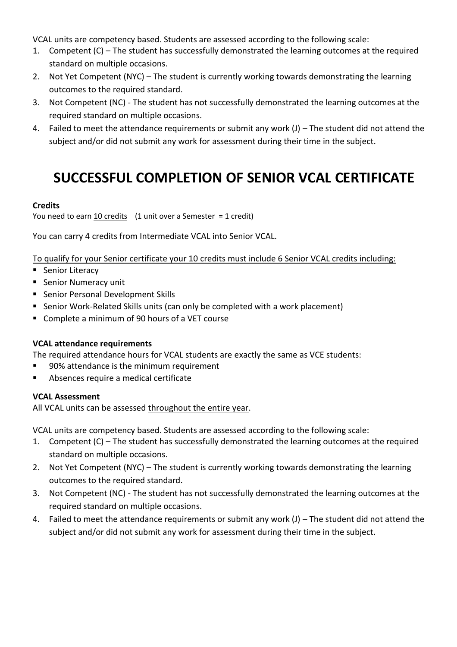VCAL units are competency based. Students are assessed according to the following scale:

- 1. Competent (C) The student has successfully demonstrated the learning outcomes at the required standard on multiple occasions.
- 2. Not Yet Competent (NYC) The student is currently working towards demonstrating the learning outcomes to the required standard.
- 3. Not Competent (NC) The student has not successfully demonstrated the learning outcomes at the required standard on multiple occasions.
- 4. Failed to meet the attendance requirements or submit any work (J) The student did not attend the subject and/or did not submit any work for assessment during their time in the subject.

# **SUCCESSFUL COMPLETION OF SENIOR VCAL CERTIFICATE**

### <span id="page-5-1"></span><span id="page-5-0"></span>**Credits**

You need to earn  $\frac{10 \text{ credits}}{10 \text{ units}}$  (1 unit over a Semester = 1 credit)

You can carry 4 credits from Intermediate VCAL into Senior VCAL.

To qualify for your Senior certificate your 10 credits must include 6 Senior VCAL credits including:

- Senior Literacy
- Senior Numeracy unit
- **Senior Personal Development Skills**
- Senior Work-Related Skills units (can only be completed with a work placement)
- Complete a minimum of 90 hours of a VET course

### <span id="page-5-2"></span>**VCAL attendance requirements**

The required attendance hours for VCAL students are exactly the same as VCE students:

- 90% attendance is the minimum requirement
- Absences require a medical certificate

### <span id="page-5-3"></span>**VCAL Assessment**

All VCAL units can be assessed throughout the entire year.

VCAL units are competency based. Students are assessed according to the following scale:

- 1. Competent (C) The student has successfully demonstrated the learning outcomes at the required standard on multiple occasions.
- 2. Not Yet Competent (NYC) The student is currently working towards demonstrating the learning outcomes to the required standard.
- 3. Not Competent (NC) The student has not successfully demonstrated the learning outcomes at the required standard on multiple occasions.
- 4. Failed to meet the attendance requirements or submit any work (J) The student did not attend the subject and/or did not submit any work for assessment during their time in the subject.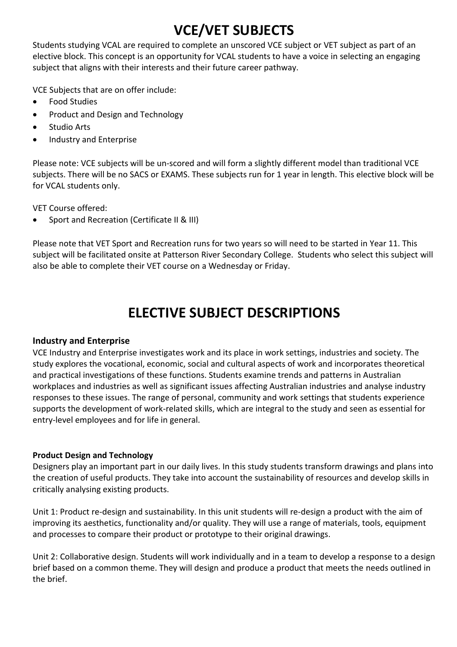# **VCE/VET SUBJECTS**

<span id="page-6-0"></span>Students studying VCAL are required to complete an unscored VCE subject or VET subject as part of an elective block. This concept is an opportunity for VCAL students to have a voice in selecting an engaging subject that aligns with their interests and their future career pathway.

VCE Subjects that are on offer include:

- Food Studies
- Product and Design and Technology
- Studio Arts
- Industry and Enterprise

Please note: VCE subjects will be un-scored and will form a slightly different model than traditional VCE subjects. There will be no SACS or EXAMS. These subjects run for 1 year in length. This elective block will be for VCAL students only.

VET Course offered:

• Sport and Recreation (Certificate II & III)

Please note that VET Sport and Recreation runs for two years so will need to be started in Year 11. This subject will be facilitated onsite at Patterson River Secondary College. Students who select this subject will also be able to complete their VET course on a Wednesday or Friday.

# **ELECTIVE SUBJECT DESCRIPTIONS**

### <span id="page-6-2"></span><span id="page-6-1"></span>**Industry and Enterprise**

VCE Industry and Enterprise investigates work and its place in work settings, industries and society. The study explores the vocational, economic, social and cultural aspects of work and incorporates theoretical and practical investigations of these functions. Students examine trends and patterns in Australian workplaces and industries as well as significant issues affecting Australian industries and analyse industry responses to these issues. The range of personal, community and work settings that students experience supports the development of work-related skills, which are integral to the study and seen as essential for entry-level employees and for life in general.

### <span id="page-6-3"></span>**Product Design and Technology**

Designers play an important part in our daily lives. In this study students transform drawings and plans into the creation of useful products. They take into account the sustainability of resources and develop skills in critically analysing existing products.

Unit 1: Product re-design and sustainability. In this unit students will re-design a product with the aim of improving its aesthetics, functionality and/or quality. They will use a range of materials, tools, equipment and processes to compare their product or prototype to their original drawings.

Unit 2: Collaborative design. Students will work individually and in a team to develop a response to a design brief based on a common theme. They will design and produce a product that meets the needs outlined in the brief.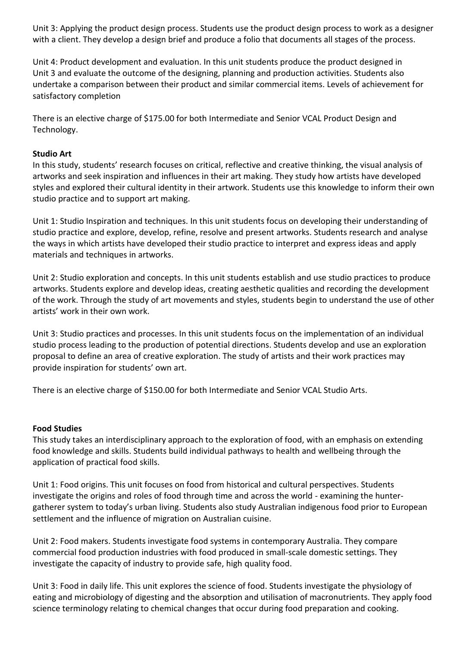Unit 3: Applying the product design process. Students use the product design process to work as a designer with a client. They develop a design brief and produce a folio that documents all stages of the process.

Unit 4: Product development and evaluation. In this unit students produce the product designed in Unit 3 and evaluate the outcome of the designing, planning and production activities. Students also undertake a comparison between their product and similar commercial items. Levels of achievement for satisfactory completion

There is an elective charge of \$175.00 for both Intermediate and Senior VCAL Product Design and Technology.

#### <span id="page-7-0"></span>**Studio Art**

In this study, students' research focuses on critical, reflective and creative thinking, the visual analysis of artworks and seek inspiration and influences in their art making. They study how artists have developed styles and explored their cultural identity in their artwork. Students use this knowledge to inform their own studio practice and to support art making.

Unit 1: Studio Inspiration and techniques. In this unit students focus on developing their understanding of studio practice and explore, develop, refine, resolve and present artworks. Students research and analyse the ways in which artists have developed their studio practice to interpret and express ideas and apply materials and techniques in artworks.

Unit 2: Studio exploration and concepts. In this unit students establish and use studio practices to produce artworks. Students explore and develop ideas, creating aesthetic qualities and recording the development of the work. Through the study of art movements and styles, students begin to understand the use of other artists' work in their own work.

Unit 3: Studio practices and processes. In this unit students focus on the implementation of an individual studio process leading to the production of potential directions. Students develop and use an exploration proposal to define an area of creative exploration. The study of artists and their work practices may provide inspiration for students' own art.

There is an elective charge of \$150.00 for both Intermediate and Senior VCAL Studio Arts.

#### <span id="page-7-1"></span>**Food Studies**

This study takes an interdisciplinary approach to the exploration of food, with an emphasis on extending food knowledge and skills. Students build individual pathways to health and wellbeing through the application of practical food skills.

Unit 1: Food origins. This unit focuses on food from historical and cultural perspectives. Students investigate the origins and roles of food through time and across the world - examining the huntergatherer system to today's urban living. Students also study Australian indigenous food prior to European settlement and the influence of migration on Australian cuisine.

Unit 2: Food makers. Students investigate food systems in contemporary Australia. They compare commercial food production industries with food produced in small-scale domestic settings. They investigate the capacity of industry to provide safe, high quality food.

Unit 3: Food in daily life. This unit explores the science of food. Students investigate the physiology of eating and microbiology of digesting and the absorption and utilisation of macronutrients. They apply food science terminology relating to chemical changes that occur during food preparation and cooking.